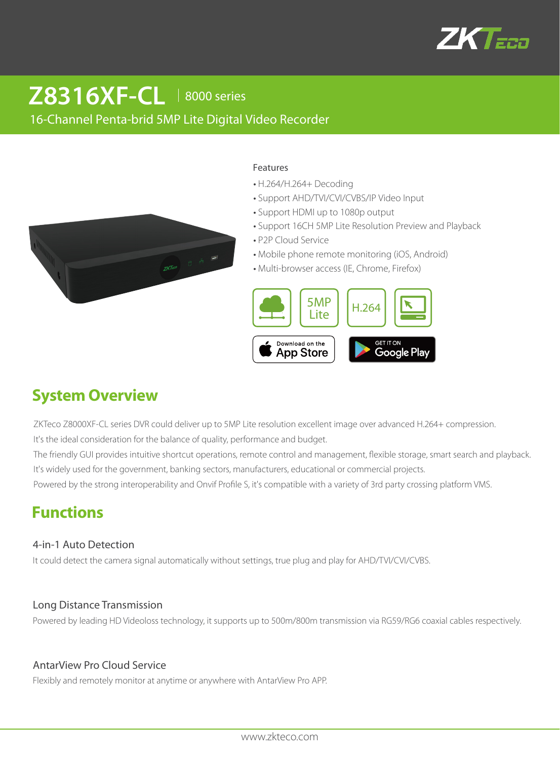

# **Z8316XF-CL** 18000 series

## 16-Channel Penta-brid 5MP Lite Digital Video Recorder



#### Features

- H.264/H.264+ Decoding
- Support AHD/TVI/CVI/CVBS/IP Video Input
- Support HDMI up to 1080p output
- Support 16CH 5MP Lite Resolution Preview and Playback
- P2P Cloud Service
- Mobile phone remote monitoring (iOS, Android)
- Multi-browser access (IE, Chrome, Firefox)



# **System Overview**

ZKTeco Z8000XF-CL series DVR could deliver up to 5MP Lite resolution excellent image over advanced H.264+ compression. It's the ideal consideration for the balance of quality, performance and budget.

The friendly GUI provides intuitive shortcut operations, remote control and management, flexible storage, smart search and playback. It's widely used for the government, banking sectors, manufacturers, educational or commercial projects.

Powered by the strong interoperability and Onvif Profile S, it's compatible with a variety of 3rd party crossing platform VMS.

# **Functions**

### 4-in-1 Auto Detection

It could detect the camera signal automatically without settings, true plug and play for AHD/TVI/CVI/CVBS.

### Long Distance Transmission

Powered by leading HD Videoloss technology, it supports up to 500m/800m transmission via RG59/RG6 coaxial cables respectively.

### AntarView Pro Cloud Service

Flexibly and remotely monitor at anytime or anywhere with AntarView Pro APP.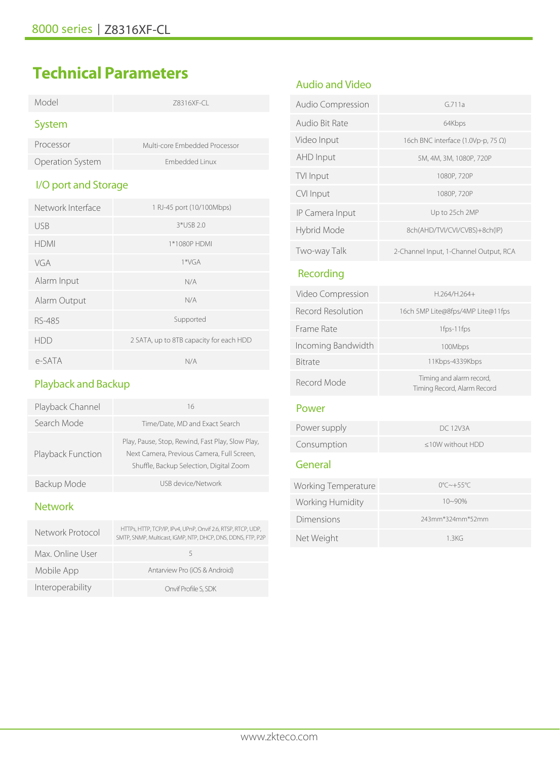# **Technical Parameters**

| Model                | 78316XF-CL                              |  |  |
|----------------------|-----------------------------------------|--|--|
| System               |                                         |  |  |
| Processor            | Multi-core Embedded Processor           |  |  |
| Operation System     | Embedded Linux                          |  |  |
| I/O port and Storage |                                         |  |  |
| Network Interface    | 1 RJ-45 port (10/100Mbps)               |  |  |
| <b>USB</b>           | 3*USB 2.0                               |  |  |
| <b>HDMI</b>          | 1*1080P HDMI                            |  |  |
| VGA                  | $1*VGA$                                 |  |  |
| Alarm Input          | N/A                                     |  |  |
| Alarm Output         | N/A                                     |  |  |
| RS-485               | Supported                               |  |  |
| <b>HDD</b>           | 2 SATA, up to 8TB capacity for each HDD |  |  |
|                      |                                         |  |  |

# Playback and Backup

e-SATA N/A

| Playback Channel  | 16                                                                                                                                        |  |
|-------------------|-------------------------------------------------------------------------------------------------------------------------------------------|--|
| Search Mode       | Time/Date, MD and Exact Search                                                                                                            |  |
| Playback Function | Play, Pause, Stop, Rewind, Fast Play, Slow Play,<br>Next Camera, Previous Camera, Full Screen,<br>Shuffle, Backup Selection, Digital Zoom |  |
| Backup Mode       | USB device/Network                                                                                                                        |  |

## Network

| Network Protocol | HTTPs, HTTP, TCP/IP, IPv4, UPnP, Onvif 2.6, RTSP, RTCP, UDP,<br>SMTP, SNMP, Multicast, IGMP, NTP, DHCP, DNS, DDNS, FTP, P2P |
|------------------|-----------------------------------------------------------------------------------------------------------------------------|
| Max. Online User | 5                                                                                                                           |
| Mobile App       | Antarview Pro (iOS & Android)                                                                                               |
| Interoperability | Onvif Profile S, SDK                                                                                                        |

# Audio and Video

| Audio Compression | G.711a                                     |  |
|-------------------|--------------------------------------------|--|
| Audio Bit Rate    | 64Kbps                                     |  |
| Video Input       | 16ch BNC interface (1.0Vp-p, 75 $\Omega$ ) |  |
| AHD Input         | 5M, 4M, 3M, 1080P, 720P                    |  |
| TVI Input         | 1080P, 720P                                |  |
| CVI Input         | 1080P, 720P                                |  |
| IP Camera Input   | Up to 25ch 2MP                             |  |
| Hybrid Mode       | 8ch(AHD/TVI/CVI/CVBS)+8ch(IP)              |  |
| Two-way Talk      | 2-Channel Input, 1-Channel Output, RCA     |  |

## Recording

| Video Compression          | $H.264/H.264+$                                          |  |  |
|----------------------------|---------------------------------------------------------|--|--|
| Record Resolution          | 16ch 5MP Lite@8fps/4MP Lite@11fps                       |  |  |
| Frame Rate                 | 1fps-11fps                                              |  |  |
| Incoming Bandwidth         | 100Mbps                                                 |  |  |
| <b>Bitrate</b>             | 11Kbps-4339Kbps                                         |  |  |
| Record Mode                | Timing and alarm record,<br>Timing Record, Alarm Record |  |  |
| Power                      |                                                         |  |  |
| Power supply               | DC 12V3A                                                |  |  |
| Consumption                | <10W without HDD                                        |  |  |
| General                    |                                                         |  |  |
| <b>Working Temperature</b> | $0^{\circ}$ C $\sim +55^{\circ}$ C                      |  |  |
| Working Humidity           | 10~90%                                                  |  |  |
| Dimensions                 | 243mm*324mm*52mm                                        |  |  |
| Net Weight                 | 1.3KG                                                   |  |  |